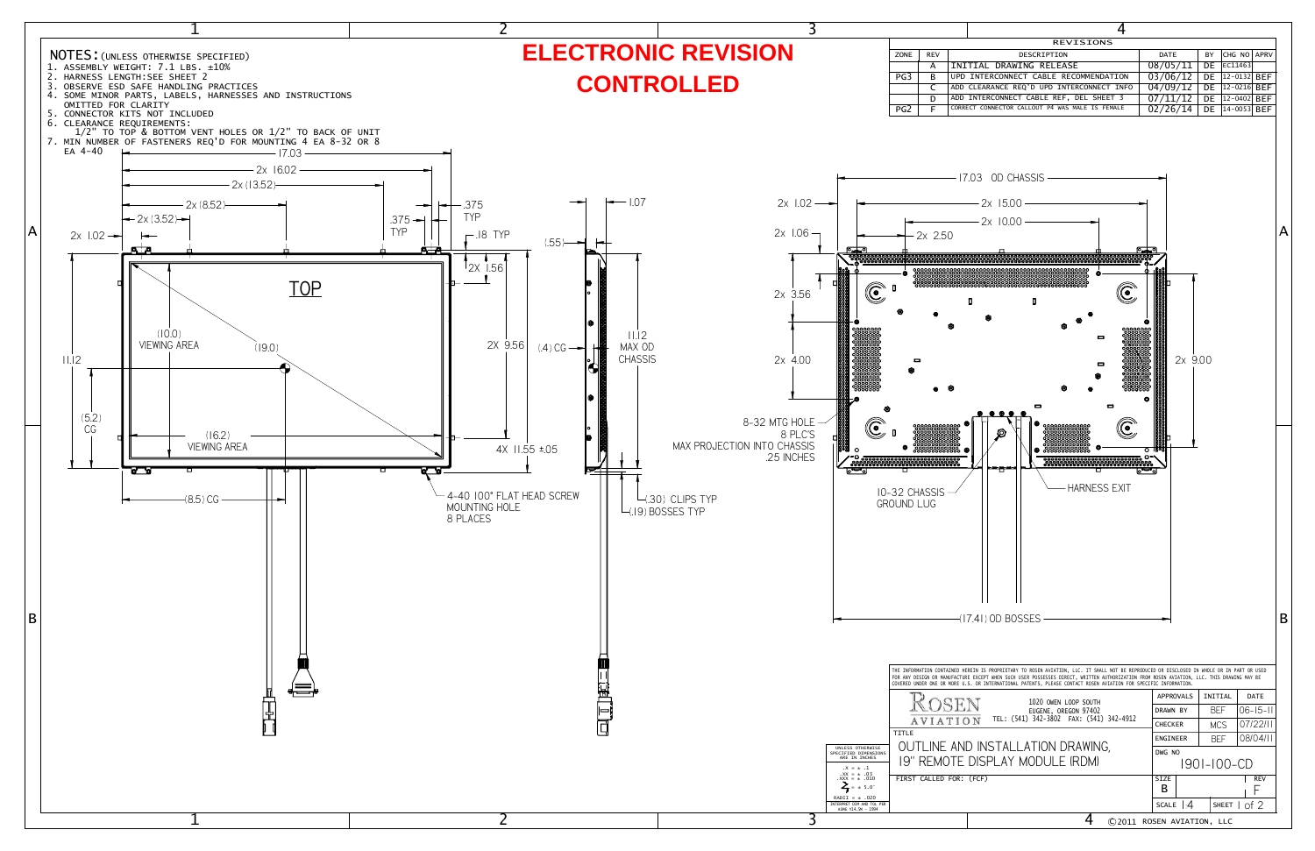